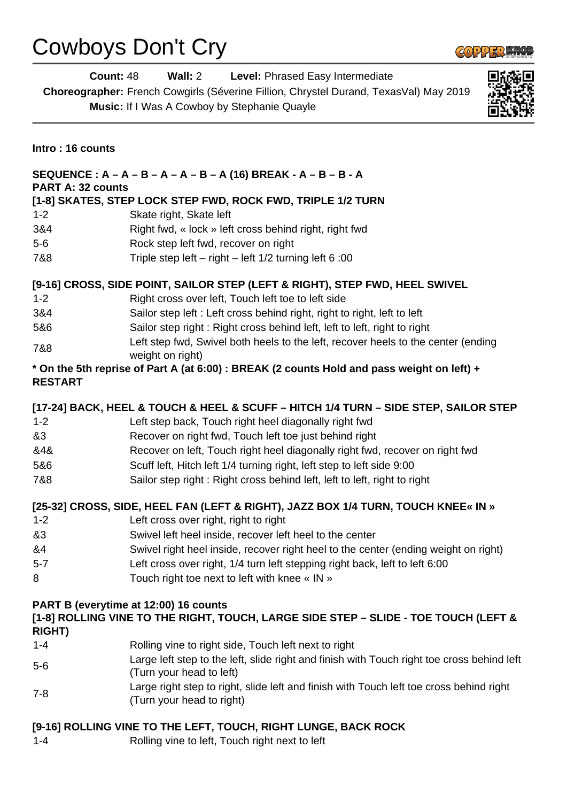## Cowboys Don't Cry

**COPPER KNOL** 

**Count:** 48 **Wall:** 2 **Level:** Phrased Easy Intermediate **Choreographer:** French Cowgirls (Séverine Fillion, Chrystel Durand, TexasVal) May 2019 **Music:** If I Was A Cowboy by Stephanie Quayle



**Intro : 16 counts**

| SEQUENCE : $A - A - B - A - A - B - A$ (16) BREAK - $A - B - B - A$<br><b>PART A: 32 counts</b>                                               |                                                                                                                      |
|-----------------------------------------------------------------------------------------------------------------------------------------------|----------------------------------------------------------------------------------------------------------------------|
|                                                                                                                                               | [1-8] SKATES, STEP LOCK STEP FWD, ROCK FWD, TRIPLE 1/2 TURN                                                          |
| $1 - 2$                                                                                                                                       | Skate right, Skate left                                                                                              |
| 3&4                                                                                                                                           | Right fwd, « lock » left cross behind right, right fwd                                                               |
| $5-6$                                                                                                                                         | Rock step left fwd, recover on right                                                                                 |
| 7&8                                                                                                                                           | Triple step left - right - left 1/2 turning left 6:00                                                                |
| [9-16] CROSS, SIDE POINT, SAILOR STEP (LEFT & RIGHT), STEP FWD, HEEL SWIVEL                                                                   |                                                                                                                      |
| $1 - 2$                                                                                                                                       | Right cross over left, Touch left toe to left side                                                                   |
| 3&4                                                                                                                                           | Sailor step left : Left cross behind right, right to right, left to left                                             |
| 5&6                                                                                                                                           | Sailor step right: Right cross behind left, left to left, right to right                                             |
| 7&8                                                                                                                                           | Left step fwd, Swivel both heels to the left, recover heels to the center (ending<br>weight on right)                |
| * On the 5th reprise of Part A (at 6:00) : BREAK (2 counts Hold and pass weight on left) +<br><b>RESTART</b>                                  |                                                                                                                      |
|                                                                                                                                               | [17-24] BACK, HEEL & TOUCH & HEEL & SCUFF - HITCH 1/4 TURN - SIDE STEP, SAILOR STEP                                  |
| $1 - 2$                                                                                                                                       | Left step back, Touch right heel diagonally right fwd                                                                |
| &3                                                                                                                                            | Recover on right fwd, Touch left toe just behind right                                                               |
| &4&                                                                                                                                           | Recover on left, Touch right heel diagonally right fwd, recover on right fwd                                         |
| 5&6                                                                                                                                           | Scuff left, Hitch left 1/4 turning right, left step to left side 9:00                                                |
| 7&8                                                                                                                                           | Sailor step right: Right cross behind left, left to left, right to right                                             |
| [25-32] CROSS, SIDE, HEEL FAN (LEFT & RIGHT), JAZZ BOX 1/4 TURN, TOUCH KNEE« IN »<br>$1 - 2$<br>Left cross over right, right to right         |                                                                                                                      |
| &3                                                                                                                                            | Swivel left heel inside, recover left heel to the center                                                             |
| &4                                                                                                                                            | Swivel right heel inside, recover right heel to the center (ending weight on right)                                  |
| $5 - 7$                                                                                                                                       | Left cross over right, 1/4 turn left stepping right back, left to left 6:00                                          |
| 8                                                                                                                                             | Touch right toe next to left with knee « IN »                                                                        |
| PART B (everytime at 12:00) 16 counts<br>[1-8] ROLLING VINE TO THE RIGHT, TOUCH, LARGE SIDE STEP - SLIDE - TOE TOUCH (LEFT &<br><b>RIGHT)</b> |                                                                                                                      |
| $1 - 4$                                                                                                                                       | Rolling vine to right side, Touch left next to right                                                                 |
|                                                                                                                                               | Large left step to the left, slide right and finish with Touch right toe cross behind left                           |
| $5-6$                                                                                                                                         | (Turn your head to left)                                                                                             |
| $7 - 8$                                                                                                                                       | Large right step to right, slide left and finish with Touch left toe cross behind right<br>(Turn your head to right) |
| [9-16] ROLLING VINE TO THE LEFT, TOUCH, RIGHT LUNGE, BACK ROCK                                                                                |                                                                                                                      |

1-4 Rolling vine to left, Touch right next to left